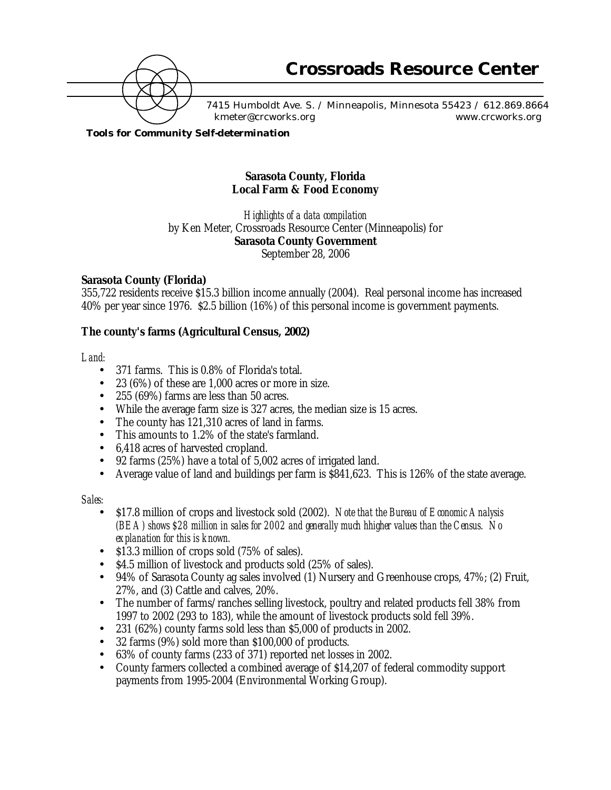

7415 Humboldt Ave. S. / Minneapolis, Minnesota 55423 / 612.869.8664 kmeter@crcworks.org www.crcworks.org

*Tools for Community Self-determination*

# **Sarasota County, Florida Local Farm & Food Economy**

*Highlights of a data compilation* by Ken Meter, Crossroads Resource Center (Minneapolis) for **Sarasota County Government** September 28, 2006

### **Sarasota County (Florida)**

355,722 residents receive \$15.3 billion income annually (2004). Real personal income has increased 40% per year since 1976. \$2.5 billion (16%) of this personal income is government payments.

### **The county's farms (Agricultural Census, 2002)**

#### *Land:*

- 371 farms. This is 0.8% of Florida's total.
- $23(6%)$  of these are 1,000 acres or more in size.
- 255 (69%) farms are less than 50 acres.
- While the average farm size is 327 acres, the median size is 15 acres.
- The county has 121,310 acres of land in farms.
- This amounts to 1.2% of the state's farmland.
- 6,418 acres of harvested cropland.
- 92 farms (25%) have a total of 5,002 acres of irrigated land.
- Average value of land and buildings per farm is \$841,623. This is 126% of the state average.

#### *Sales:*

- \$17.8 million of crops and livestock sold (2002). *Note that the Bureau of Economic Analysis (BEA) shows \$28 million in sales for 2002 and generally much hhigher values than the Census. No explanation for this is known.*
- \$13.3 million of crops sold (75% of sales).
- \$4.5 million of livestock and products sold (25% of sales).
- 94% of Sarasota County ag sales involved (1) Nursery and Greenhouse crops, 47%; (2) Fruit, 27%, and (3) Cattle and calves, 20%.
- The number of farms/ranches selling livestock, poultry and related products fell 38% from 1997 to 2002 (293 to 183), while the amount of livestock products sold fell 39%.
- 231 (62%) county farms sold less than \$5,000 of products in 2002.
- 32 farms (9%) sold more than \$100,000 of products.
- 63% of county farms (233 of 371) reported net losses in 2002.
- County farmers collected a combined average of \$14,207 of federal commodity support payments from 1995-2004 (Environmental Working Group).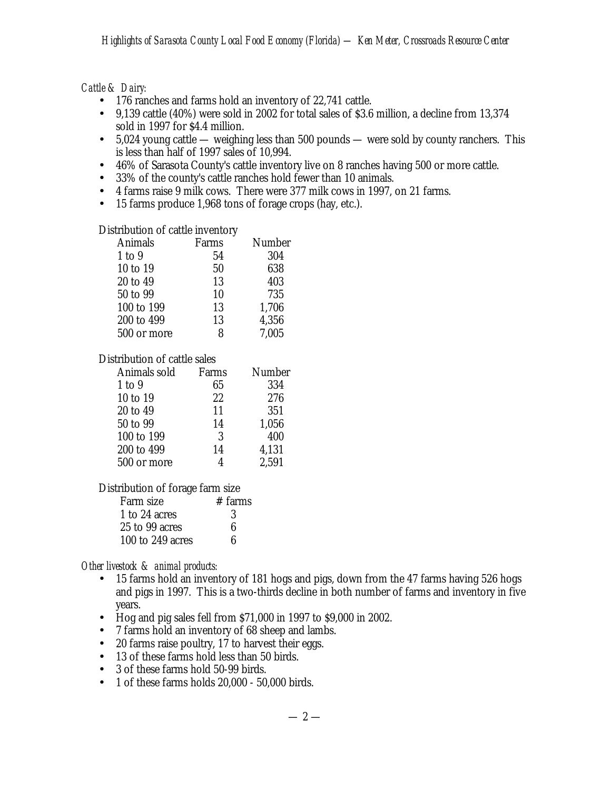*Cattle & Dairy:*

- 176 ranches and farms hold an inventory of 22,741 cattle.
- 9,139 cattle (40%) were sold in 2002 for total sales of \$3.6 million, a decline from 13,374 sold in 1997 for \$4.4 million.
- 5,024 young cattle weighing less than 500 pounds were sold by county ranchers. This is less than half of 1997 sales of 10,994.
- 46% of Sarasota County's cattle inventory live on 8 ranches having 500 or more cattle.
- 33% of the county's cattle ranches hold fewer than 10 animals.
- 4 farms raise 9 milk cows. There were 377 milk cows in 1997, on 21 farms.
- 15 farms produce 1,968 tons of forage crops (hay, etc.).

# Distribution of cattle inventory

| Animals     | Farms | Number |
|-------------|-------|--------|
| $1$ to $9$  | 54    | 304    |
| 10 to 19    | 50    | 638    |
| 20 to 49    | 13    | 403    |
| 50 to 99    | 10    | 735    |
| 100 to 199  | 13    | 1,706  |
| 200 to 499  | 13    | 4,356  |
| 500 or more | ႙     | 7.005  |
|             |       |        |

# Distribution of cattle sales

| Animals sold | Farms | Number |
|--------------|-------|--------|
| $1$ to $9$   | 65    | 334    |
| 10 to 19     | 22    | 276    |
| 20 to 49     | 11    | 351    |
| 50 to 99     | 14    | 1,056  |
| 100 to 199   | 3     | 400    |
| 200 to 499   | 14    | 4,131  |
| 500 or more  |       | 2,591  |
|              |       |        |

Distribution of forage farm size

| Farm size        | $#$ farms |
|------------------|-----------|
| 1 to 24 acres    | 3         |
| 25 to 99 acres   | 6         |
| 100 to 249 acres | в         |

*Other livestock & animal products:*

- 15 farms hold an inventory of 181 hogs and pigs, down from the 47 farms having 526 hogs and pigs in 1997. This is a two-thirds decline in both number of farms and inventory in five years.
- Hog and pig sales fell from \$71,000 in 1997 to \$9,000 in 2002.
- 7 farms hold an inventory of 68 sheep and lambs.
- 20 farms raise poultry, 17 to harvest their eggs.
- 13 of these farms hold less than 50 birds.
- 3 of these farms hold 50-99 birds.
- 1 of these farms holds 20,000 50,000 birds.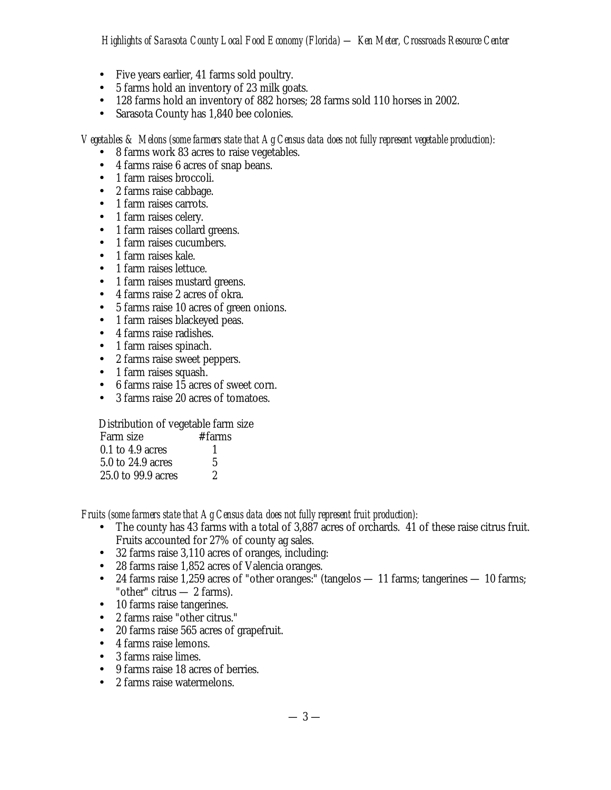- Five years earlier, 41 farms sold poultry.
- 5 farms hold an inventory of 23 milk goats.
- 128 farms hold an inventory of 882 horses; 28 farms sold 110 horses in 2002.
- Sarasota County has 1,840 bee colonies.

*Vegetables & Melons (some farmers state that Ag Census data does not fully represent vegetable production):*

- 8 farms work 83 acres to raise vegetables.
- 4 farms raise 6 acres of snap beans.
- 1 farm raises broccoli.
- 2 farms raise cabbage.
- 1 farm raises carrots.
- 1 farm raises celery.
- 1 farm raises collard greens.
- 1 farm raises cucumbers.
- 1 farm raises kale.
- 1 farm raises lettuce.
- 1 farm raises mustard greens.
- 4 farms raise 2 acres of okra.
- 5 farms raise 10 acres of green onions.
- 1 farm raises blackeyed peas.
- 4 farms raise radishes.
- 1 farm raises spinach.
- 2 farms raise sweet peppers.
- 1 farm raises squash.
- 6 farms raise 15 acres of sweet corn.
- 3 farms raise 20 acres of tomatoes.

Distribution of vegetable farm size

| Farm size          | # farms |
|--------------------|---------|
| $0.1$ to 4.9 acres |         |
| 5.0 to 24.9 acres  | 5       |
| 25.0 to 99.9 acres | 2       |

*Fruits (some farmers state that Ag Census data does not fully represent fruit production):*

- The county has 43 farms with a total of 3,887 acres of orchards. 41 of these raise citrus fruit. Fruits accounted for 27% of county ag sales.
- 32 farms raise 3,110 acres of oranges, including:
- 28 farms raise 1,852 acres of Valencia oranges.
- 24 farms raise 1,259 acres of "other oranges:" (tangelos 11 farms; tangerines 10 farms; "other" citrus  $-2$  farms).
- 10 farms raise tangerines.
- 2 farms raise "other citrus."
- 20 farms raise 565 acres of grapefruit.
- 4 farms raise lemons.
- 3 farms raise limes.
- 9 farms raise 18 acres of berries.
- 2 farms raise watermelons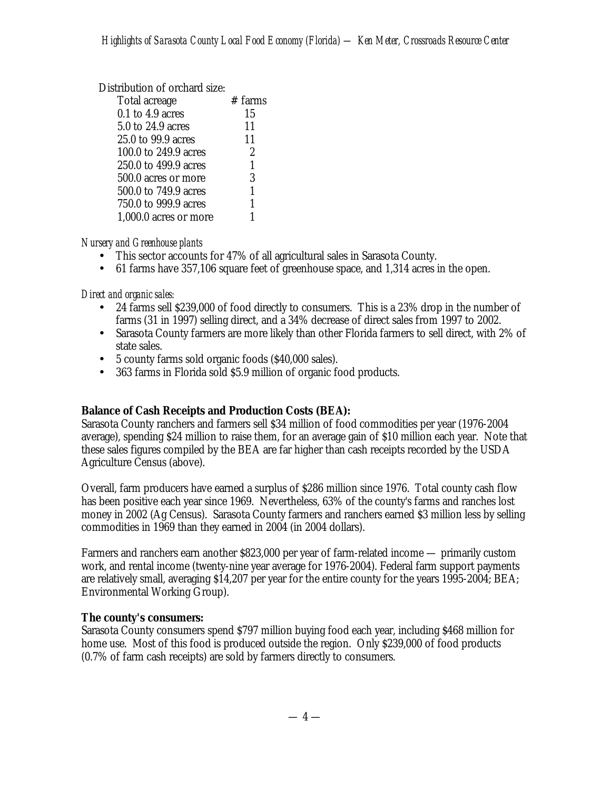### Distribution of orchard size:

| Total acreage         | $#$ farms |
|-----------------------|-----------|
| $0.1$ to $4.9$ acres  | 15        |
| 5.0 to 24.9 acres     | 11        |
| 25.0 to 99.9 acres    | 11        |
| 100.0 to 249.9 acres  | 2         |
| 250.0 to 499.9 acres  | 1         |
| 500.0 acres or more   | 3         |
| 500.0 to 749.9 acres  | 1         |
| 750.0 to 999.9 acres  | 1         |
| 1,000.0 acres or more | 1         |

# *Nursery and Greenhouse plants*

- This sector accounts for 47% of all agricultural sales in Sarasota County.
- 61 farms have 357,106 square feet of greenhouse space, and 1,314 acres in the open.

*Direct and organic sales:*

- 24 farms sell \$239,000 of food directly to consumers. This is a 23% drop in the number of farms (31 in 1997) selling direct, and a 34% decrease of direct sales from 1997 to 2002.
- Sarasota County farmers are more likely than other Florida farmers to sell direct, with 2% of state sales.
- 5 county farms sold organic foods (\$40,000 sales).
- 363 farms in Florida sold \$5.9 million of organic food products.

# **Balance of Cash Receipts and Production Costs (BEA):**

Sarasota County ranchers and farmers sell \$34 million of food commodities per year (1976-2004 average), spending \$24 million to raise them, for an average gain of \$10 million each year. Note that these sales figures compiled by the BEA are far higher than cash receipts recorded by the USDA Agriculture Census (above).

Overall, farm producers have earned a surplus of \$286 million since 1976. Total county cash flow has been positive each year since 1969. Nevertheless, 63% of the county's farms and ranches lost money in 2002 (Ag Census). Sarasota County farmers and ranchers earned \$3 million less by selling commodities in 1969 than they earned in 2004 (in 2004 dollars).

Farmers and ranchers earn another \$823,000 per year of farm-related income — primarily custom work, and rental income (twenty-nine year average for 1976-2004). Federal farm support payments are relatively small, averaging \$14,207 per year for the entire county for the years 1995-2004; BEA; Environmental Working Group).

# **The county's consumers:**

Sarasota County consumers spend \$797 million buying food each year, including \$468 million for home use. Most of this food is produced outside the region. Only \$239,000 of food products (0.7% of farm cash receipts) are sold by farmers directly to consumers.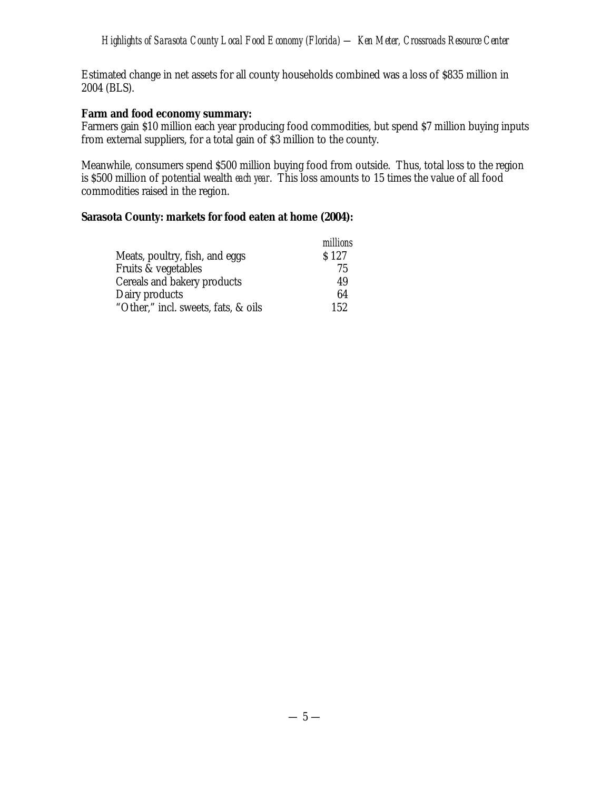Estimated change in net assets for all county households combined was a loss of \$835 million in 2004 (BLS).

### **Farm and food economy summary:**

Farmers gain \$10 million each year producing food commodities, but spend \$7 million buying inputs from external suppliers, for a total gain of \$3 million to the county.

Meanwhile, consumers spend \$500 million buying food from outside. Thus, total loss to the region is \$500 million of potential wealth *each year*. This loss amounts to 15 times the value of all food commodities raised in the region.

### **Sarasota County: markets for food eaten at home (2004):**

|                                     | millions |
|-------------------------------------|----------|
| Meats, poultry, fish, and eggs      | S 127    |
| Fruits & vegetables                 | 75       |
| Cereals and bakery products         | 49       |
| Dairy products                      | 64       |
| "Other," incl. sweets, fats, & oils | 152      |